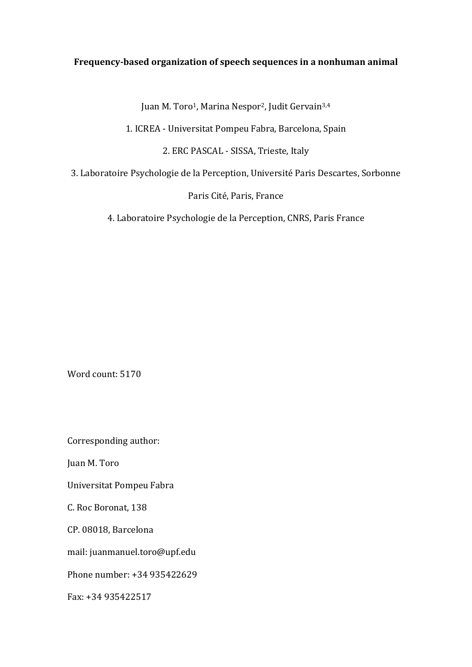## Frequency-based organization of speech sequences in a nonhuman animal

Juan M. Toro<sup>1</sup>, Marina Nespor<sup>2</sup>, Judit Gervain<sup>3,4</sup>

1. ICREA - Universitat Pompeu Fabra, Barcelona, Spain

2. ERC PASCAL - SISSA, Trieste, Italy

3. Laboratoire Psychologie de la Perception, Université Paris Descartes, Sorbonne

Paris Cité, Paris, France

4. Laboratoire Psychologie de la Perception, CNRS, Paris France

Word count: 5170

Corresponding author:

Juan M. Toro

Universitat Pompeu Fabra

C. Roc Boronat, 138

CP. 08018, Barcelona

mail: juanmanuel.toro@upf.edu

Phone number: +34 935422629

Fax: +34 935422517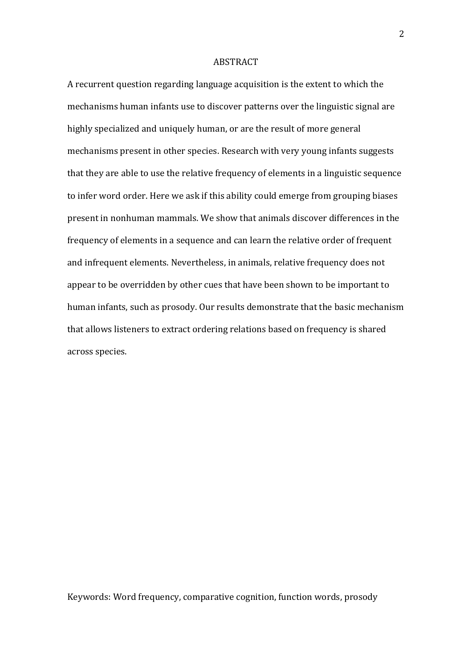#### ABSTRACT

A recurrent question regarding language acquisition is the extent to which the mechanisms human infants use to discover patterns over the linguistic signal are highly specialized and uniquely human, or are the result of more general mechanisms present in other species. Research with very young infants suggests that they are able to use the relative frequency of elements in a linguistic sequence to infer word order. Here we ask if this ability could emerge from grouping biases present in nonhuman mammals. We show that animals discover differences in the frequency of elements in a sequence and can learn the relative order of frequent and infrequent elements. Nevertheless, in animals, relative frequency does not appear to be overridden by other cues that have been shown to be important to human infants, such as prosody. Our results demonstrate that the basic mechanism that allows listeners to extract ordering relations based on frequency is shared across species.

Keywords: Word frequency, comparative cognition, function words, prosody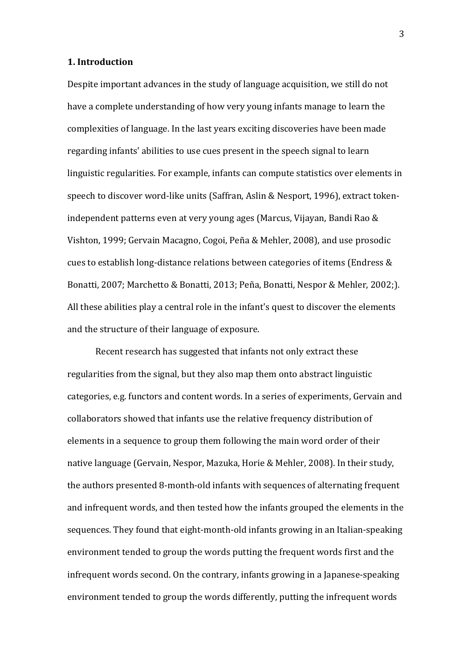### **1. Introduction**

Despite important advances in the study of language acquisition, we still do not have a complete understanding of how very young infants manage to learn the complexities of language. In the last years exciting discoveries have been made regarding infants' abilities to use cues present in the speech signal to learn linguistic regularities. For example, infants can compute statistics over elements in speech to discover word-like units (Saffran, Aslin & Nesport, 1996), extract tokenindependent patterns even at very young ages (Marcus, Vijayan, Bandi Rao & Vishton, 1999; Gervain Macagno, Cogoi, Peña & Mehler, 2008), and use prosodic cues to establish long-distance relations between categories of items (Endress  $&$ Bonatti, 2007; Marchetto & Bonatti, 2013; Peña, Bonatti, Nespor & Mehler, 2002;). All these abilities play a central role in the infant's quest to discover the elements and the structure of their language of exposure.

Recent research has suggested that infants not only extract these regularities from the signal, but they also map them onto abstract linguistic categories, e.g. functors and content words. In a series of experiments, Gervain and collaborators showed that infants use the relative frequency distribution of elements in a sequence to group them following the main word order of their native language (Gervain, Nespor, Mazuka, Horie & Mehler, 2008). In their study, the authors presented 8-month-old infants with sequences of alternating frequent and infrequent words, and then tested how the infants grouped the elements in the sequences. They found that eight-month-old infants growing in an Italian-speaking environment tended to group the words putting the frequent words first and the infrequent words second. On the contrary, infants growing in a Japanese-speaking environment tended to group the words differently, putting the infrequent words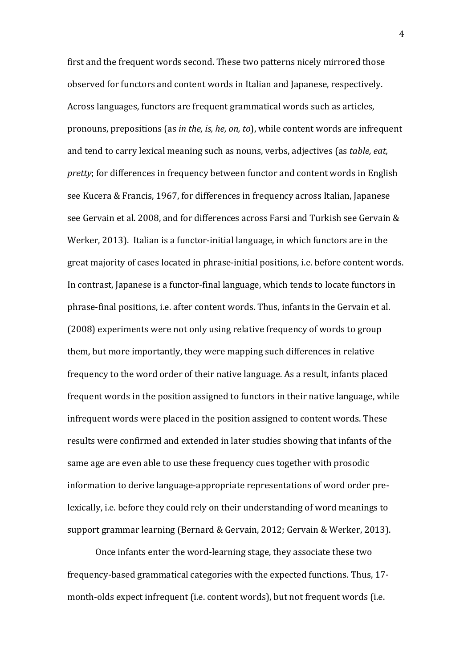first and the frequent words second. These two patterns nicely mirrored those observed for functors and content words in Italian and Japanese, respectively. Across languages, functors are frequent grammatical words such as articles, pronouns, prepositions (as *in the, is, he, on, to*), while content words are infrequent and tend to carry lexical meaning such as nouns, verbs, adjectives (as *table, eat*, *pretty*; for differences in frequency between functor and content words in English see Kucera & Francis, 1967, for differences in frequency across Italian, Japanese see Gervain et al. 2008, and for differences across Farsi and Turkish see Gervain & Werker, 2013). Italian is a functor-initial language, in which functors are in the great majority of cases located in phrase-initial positions, i.e. before content words. In contrast, Japanese is a functor-final language, which tends to locate functors in phrase-final positions, i.e. after content words. Thus, infants in the Gervain et al. (2008) experiments were not only using relative frequency of words to group them, but more importantly, they were mapping such differences in relative frequency to the word order of their native language. As a result, infants placed frequent words in the position assigned to functors in their native language, while infrequent words were placed in the position assigned to content words. These results were confirmed and extended in later studies showing that infants of the same age are even able to use these frequency cues together with prosodic information to derive language-appropriate representations of word order prelexically, i.e. before they could rely on their understanding of word meanings to support grammar learning (Bernard & Gervain, 2012; Gervain & Werker, 2013).

Once infants enter the word-learning stage, they associate these two frequency-based grammatical categories with the expected functions. Thus, 17month-olds expect infrequent (i.e. content words), but not frequent words (i.e.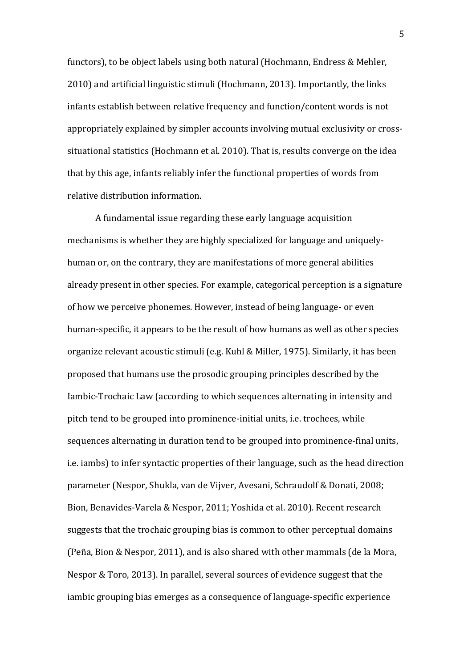functors), to be object labels using both natural (Hochmann, Endress & Mehler, 2010) and artificial linguistic stimuli (Hochmann, 2013). Importantly, the links infants establish between relative frequency and function/content words is not appropriately explained by simpler accounts involving mutual exclusivity or crosssituational statistics (Hochmann et al. 2010). That is, results converge on the idea that by this age, infants reliably infer the functional properties of words from relative distribution information.

A fundamental issue regarding these early language acquisition mechanisms is whether they are highly specialized for language and uniquelyhuman or, on the contrary, they are manifestations of more general abilities already present in other species. For example, categorical perception is a signature of how we perceive phonemes. However, instead of being language- or even human-specific, it appears to be the result of how humans as well as other species organize relevant acoustic stimuli (e.g. Kuhl & Miller, 1975). Similarly, it has been proposed that humans use the prosodic grouping principles described by the Iambic-Trochaic Law (according to which sequences alternating in intensity and pitch tend to be grouped into prominence-initial units, i.e. trochees, while sequences alternating in duration tend to be grouped into prominence-final units, i.e. iambs) to infer syntactic properties of their language, such as the head direction parameter (Nespor, Shukla, van de Vijver, Avesani, Schraudolf & Donati, 2008; Bion, Benavides-Varela & Nespor, 2011; Yoshida et al. 2010). Recent research suggests that the trochaic grouping bias is common to other perceptual domains (Peña, Bion & Nespor, 2011), and is also shared with other mammals (de la Mora, Nespor & Toro, 2013). In parallel, several sources of evidence suggest that the iambic grouping bias emerges as a consequence of language-specific experience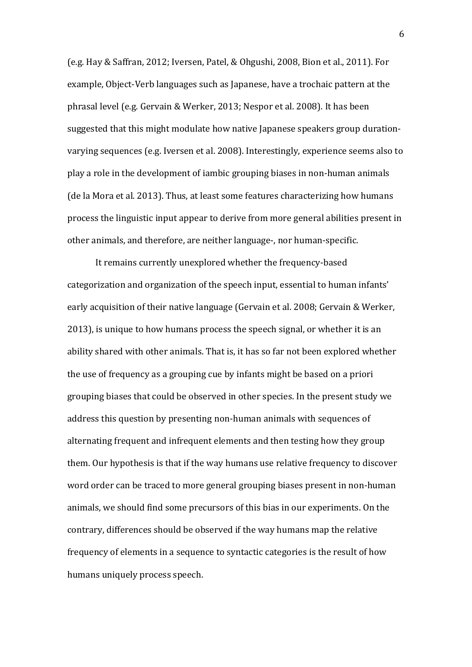(e.g. Hay & Saffran, 2012; Iversen, Patel, & Ohgushi, 2008, Bion et al., 2011). For example, Object-Verb languages such as Japanese, have a trochaic pattern at the phrasal level (e.g. Gervain & Werker, 2013; Nespor et al. 2008). It has been suggested that this might modulate how native Japanese speakers group durationvarying sequences (e.g. Iversen et al. 2008). Interestingly, experience seems also to play a role in the development of iambic grouping biases in non-human animals (de la Mora et al. 2013). Thus, at least some features characterizing how humans process the linguistic input appear to derive from more general abilities present in other animals, and therefore, are neither language-, nor human-specific.

It remains currently unexplored whether the frequency-based categorization and organization of the speech input, essential to human infants' early acquisition of their native language (Gervain et al. 2008; Gervain & Werker, 2013), is unique to how humans process the speech signal, or whether it is an ability shared with other animals. That is, it has so far not been explored whether the use of frequency as a grouping cue by infants might be based on a priori grouping biases that could be observed in other species. In the present study we address this question by presenting non-human animals with sequences of alternating frequent and infrequent elements and then testing how they group them. Our hypothesis is that if the way humans use relative frequency to discover word order can be traced to more general grouping biases present in non-human animals, we should find some precursors of this bias in our experiments. On the contrary, differences should be observed if the way humans map the relative frequency of elements in a sequence to syntactic categories is the result of how humans uniquely process speech.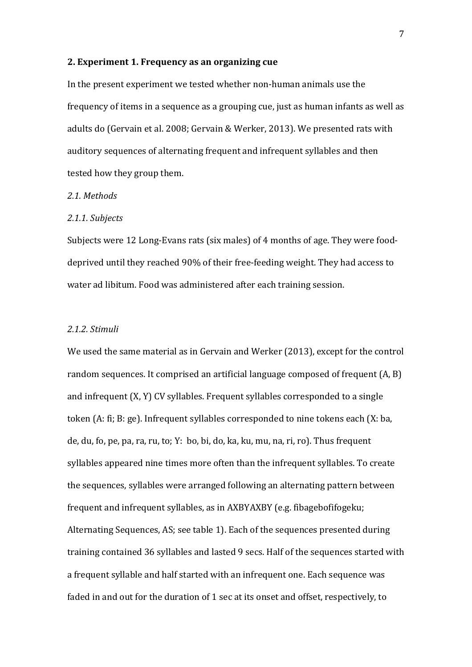#### **2. Experiment 1. Frequency as an organizing cue**

In the present experiment we tested whether non-human animals use the frequency of items in a sequence as a grouping cue, just as human infants as well as adults do (Gervain et al. 2008; Gervain & Werker, 2013). We presented rats with auditory sequences of alternating frequent and infrequent syllables and then tested how they group them.

### *2.1. Methods*

#### *2.1.1. Subjects*

Subjects were 12 Long-Evans rats (six males) of 4 months of age. They were fooddeprived until they reached 90% of their free-feeding weight. They had access to water ad libitum. Food was administered after each training session.

#### *2.1.2. Stimuli*

We used the same material as in Gervain and Werker (2013), except for the control random sequences. It comprised an artificial language composed of frequent  $(A, B)$ and infrequent  $(X, Y)$  CV syllables. Frequent syllables corresponded to a single token  $(A; fi; B; ge)$ . Infrequent syllables corresponded to nine tokens each  $(X; ba)$ ,  $de, du, fo, pe, pa, ra, ru, to; Y: bo, bi, do, ka, ku, mu, na, ri, ro). Thus frequent$ syllables appeared nine times more often than the infrequent syllables. To create the sequences, syllables were arranged following an alternating pattern between frequent and infrequent syllables, as in AXBYAXBY (e.g. fibagebofifogeku; Alternating Sequences, AS; see table 1). Each of the sequences presented during training contained 36 syllables and lasted 9 secs. Half of the sequences started with a frequent syllable and half started with an infrequent one. Each sequence was faded in and out for the duration of 1 sec at its onset and offset, respectively, to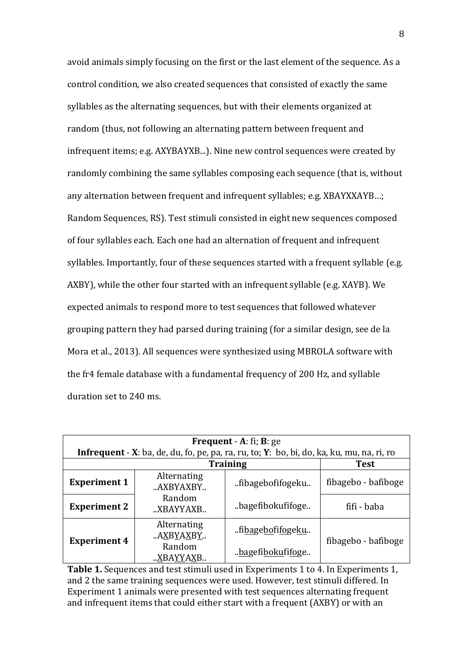avoid animals simply focusing on the first or the last element of the sequence. As a control condition, we also created sequences that consisted of exactly the same syllables as the alternating sequences, but with their elements organized at random (thus, not following an alternating pattern between frequent and infrequent items; e.g. AXYBAYXB...). Nine new control sequences were created by randomly combining the same syllables composing each sequence (that is, without any alternation between frequent and infrequent syllables; e.g. XBAYXXAYB...; Random Sequences, RS). Test stimuli consisted in eight new sequences composed of four syllables each. Each one had an alternation of frequent and infrequent syllables. Importantly, four of these sequences started with a frequent syllable (e.g. AXBY), while the other four started with an infrequent syllable (e.g. XAYB). We expected animals to respond more to test sequences that followed whatever grouping pattern they had parsed during training (for a similar design, see de la Mora et al., 2013). All sequences were synthesized using MBROLA software with the fr4 female database with a fundamental frequency of 200 Hz, and syllable duration set to 240 ms.

| <b>Frequent</b> - $A$ : fi; $B$ : ge                                                      |                          |                  |                     |
|-------------------------------------------------------------------------------------------|--------------------------|------------------|---------------------|
| Infrequent - X: ba, de, du, fo, pe, pa, ra, ru, to; Y: bo, bi, do, ka, ku, mu, na, ri, ro |                          |                  |                     |
| <b>Training</b>                                                                           |                          |                  | <b>Test</b>         |
| <b>Experiment 1</b>                                                                       | Alternating<br>"AXBYAXBY | fibagebofifogeku | fibagebo - bafiboge |
| <b>Experiment 2</b>                                                                       | Random<br>"XBAYYAXB      | bagefibokufifoge | fifi - baba         |
| <b>Experiment 4</b>                                                                       | Alternating<br>AXBYAXBY  | fibagebofifogeku | fibagebo - bafiboge |
|                                                                                           | Random<br>XBAYYAXB       | bagefibokufifoge |                     |

**Table 1.** Sequences and test stimuli used in Experiments 1 to 4. In Experiments 1, and 2 the same training sequences were used. However, test stimuli differed. In Experiment 1 animals were presented with test sequences alternating frequent and infrequent items that could either start with a frequent (AXBY) or with an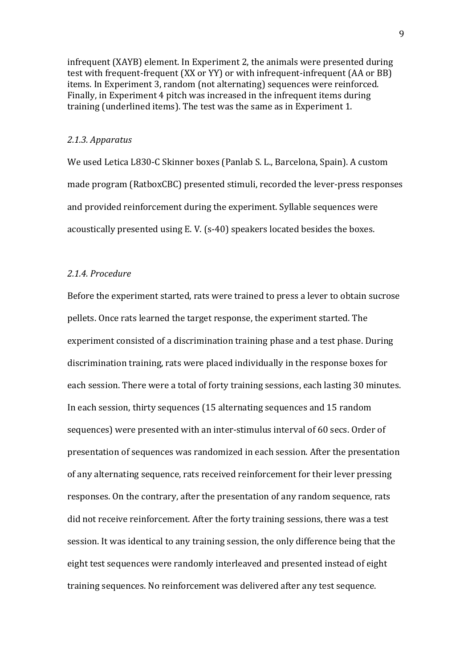infrequent (XAYB) element. In Experiment 2, the animals were presented during test with frequent-frequent (XX or YY) or with infrequent-infrequent (AA or BB) items. In Experiment 3, random (not alternating) sequences were reinforced. Finally, in Experiment 4 pitch was increased in the infrequent items during training (underlined items). The test was the same as in Experiment 1.

#### *2.1.3. Apparatus*

We used Letica L830-C Skinner boxes (Panlab S. L., Barcelona, Spain). A custom made program (RatboxCBC) presented stimuli, recorded the lever-press responses and provided reinforcement during the experiment. Syllable sequences were acoustically presented using E.V. (s-40) speakers located besides the boxes.

### *2.1.4. Procedure*

Before the experiment started, rats were trained to press a lever to obtain sucrose pellets. Once rats learned the target response, the experiment started. The experiment consisted of a discrimination training phase and a test phase. During discrimination training, rats were placed individually in the response boxes for each session. There were a total of forty training sessions, each lasting 30 minutes. In each session, thirty sequences (15 alternating sequences and 15 random sequences) were presented with an inter-stimulus interval of 60 secs. Order of presentation of sequences was randomized in each session. After the presentation of any alternating sequence, rats received reinforcement for their lever pressing responses. On the contrary, after the presentation of any random sequence, rats did not receive reinforcement. After the forty training sessions, there was a test session. It was identical to any training session, the only difference being that the eight test sequences were randomly interleaved and presented instead of eight training sequences. No reinforcement was delivered after any test sequence.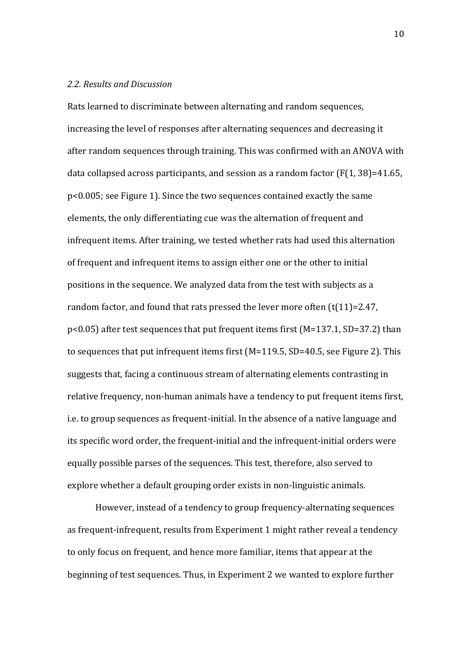### *2.2. Results and Discussion*

Rats learned to discriminate between alternating and random sequences, increasing the level of responses after alternating sequences and decreasing it after random sequences through training. This was confirmed with an ANOVA with data collapsed across participants, and session as a random factor  $(F(1, 38)=41.65$ ,  $p$ <0.005; see Figure 1). Since the two sequences contained exactly the same elements, the only differentiating cue was the alternation of frequent and infrequent items. After training, we tested whether rats had used this alternation of frequent and infrequent items to assign either one or the other to initial positions in the sequence. We analyzed data from the test with subjects as a random factor, and found that rats pressed the lever more often  $(t(11)=2.47)$ , p<0.05) after test sequences that put frequent items first (M=137.1, SD=37.2) than to sequences that put infrequent items first  $(M=119.5, SD=40.5,$  see Figure 2). This suggests that, facing a continuous stream of alternating elements contrasting in relative frequency, non-human animals have a tendency to put frequent items first, i.e. to group sequences as frequent-initial. In the absence of a native language and its specific word order, the frequent-initial and the infrequent-initial orders were equally possible parses of the sequences. This test, therefore, also served to explore whether a default grouping order exists in non-linguistic animals.

However, instead of a tendency to group frequency-alternating sequences as frequent-infrequent, results from Experiment 1 might rather reveal a tendency to only focus on frequent, and hence more familiar, items that appear at the beginning of test sequences. Thus, in Experiment 2 we wanted to explore further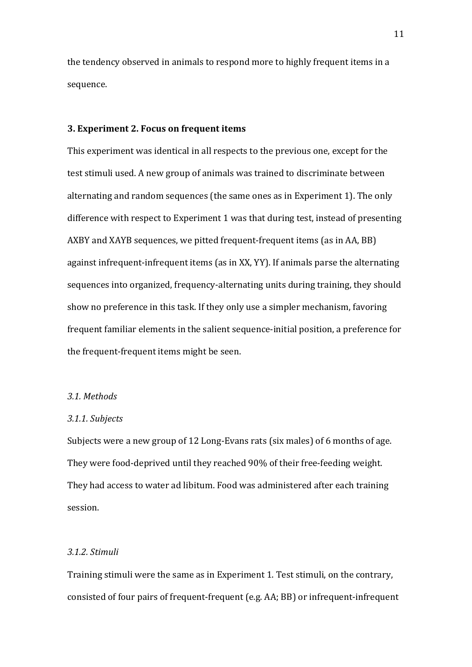the tendency observed in animals to respond more to highly frequent items in a sequence.

#### **3. Experiment 2. Focus on frequent items**

This experiment was identical in all respects to the previous one, except for the test stimuli used. A new group of animals was trained to discriminate between alternating and random sequences (the same ones as in Experiment 1). The only difference with respect to Experiment 1 was that during test, instead of presenting AXBY and XAYB sequences, we pitted frequent-frequent items (as in AA, BB) against infrequent-infrequent items (as in XX, YY). If animals parse the alternating sequences into organized, frequency-alternating units during training, they should show no preference in this task. If they only use a simpler mechanism, favoring frequent familiar elements in the salient sequence-initial position, a preference for the frequent-frequent items might be seen.

#### *3.1. Methods*

#### *3.1.1. Subjects*

Subjects were a new group of 12 Long-Evans rats (six males) of 6 months of age. They were food-deprived until they reached 90% of their free-feeding weight. They had access to water ad libitum. Food was administered after each training session. 

### *3.1.2. Stimuli*

Training stimuli were the same as in Experiment 1. Test stimuli, on the contrary, consisted of four pairs of frequent-frequent (e.g. AA; BB) or infrequent-infrequent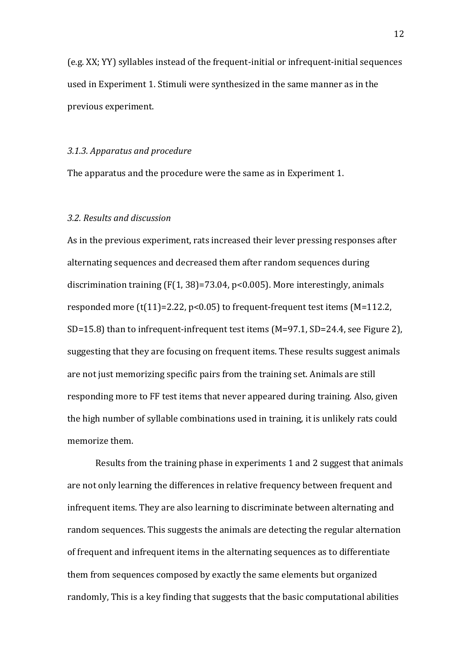(e.g. XX; YY) syllables instead of the frequent-initial or infrequent-initial sequences used in Experiment 1. Stimuli were synthesized in the same manner as in the previous experiment.

#### 3.1.3. Apparatus and procedure

The apparatus and the procedure were the same as in Experiment 1.

#### *3.2. Results and discussion*

As in the previous experiment, rats increased their lever pressing responses after alternating sequences and decreased them after random sequences during discrimination training  $(F(1, 38)=73.04, p<0.005)$ . More interestingly, animals responded more  $(t(11)=2.22, p<0.05)$  to frequent-frequent test items (M=112.2, SD=15.8) than to infrequent-infrequent test items  $(M=97.1, SD=24.4,$  see Figure 2), suggesting that they are focusing on frequent items. These results suggest animals are not just memorizing specific pairs from the training set. Animals are still responding more to FF test items that never appeared during training. Also, given the high number of syllable combinations used in training, it is unlikely rats could memorize them.

Results from the training phase in experiments 1 and 2 suggest that animals are not only learning the differences in relative frequency between frequent and infrequent items. They are also learning to discriminate between alternating and random sequences. This suggests the animals are detecting the regular alternation of frequent and infrequent items in the alternating sequences as to differentiate them from sequences composed by exactly the same elements but organized randomly, This is a key finding that suggests that the basic computational abilities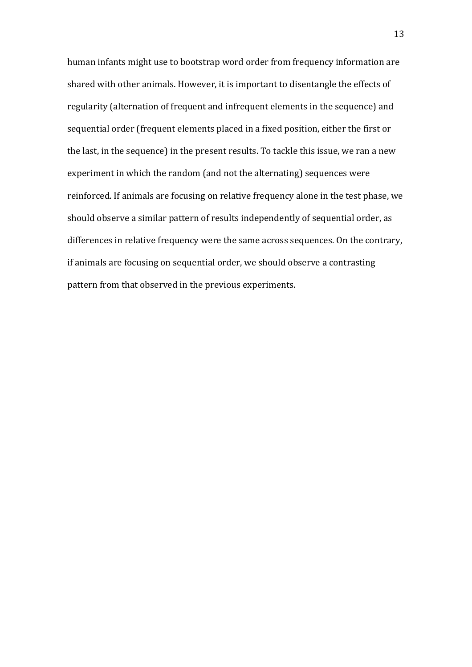human infants might use to bootstrap word order from frequency information are shared with other animals. However, it is important to disentangle the effects of regularity (alternation of frequent and infrequent elements in the sequence) and sequential order (frequent elements placed in a fixed position, either the first or the last, in the sequence) in the present results. To tackle this issue, we ran a new experiment in which the random (and not the alternating) sequences were reinforced. If animals are focusing on relative frequency alone in the test phase, we should observe a similar pattern of results independently of sequential order, as differences in relative frequency were the same across sequences. On the contrary, if animals are focusing on sequential order, we should observe a contrasting pattern from that observed in the previous experiments.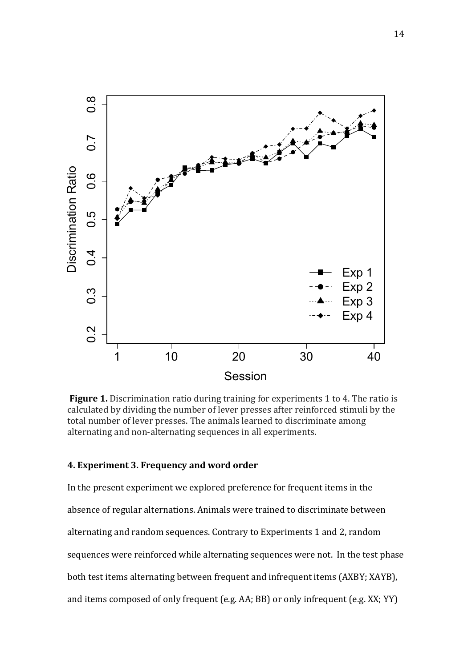

**Figure 1.** Discrimination ratio during training for experiments 1 to 4. The ratio is calculated by dividing the number of lever presses after reinforced stimuli by the total number of lever presses. The animals learned to discriminate among alternating and non-alternating sequences in all experiments.

### **4. Experiment 3. Frequency and word order**

In the present experiment we explored preference for frequent items in the absence of regular alternations. Animals were trained to discriminate between alternating and random sequences. Contrary to Experiments 1 and 2, random sequences were reinforced while alternating sequences were not. In the test phase both test items alternating between frequent and infrequent items (AXBY; XAYB), and items composed of only frequent  $(e.g. AA; BB)$  or only infrequent  $(e.g. XX; YY)$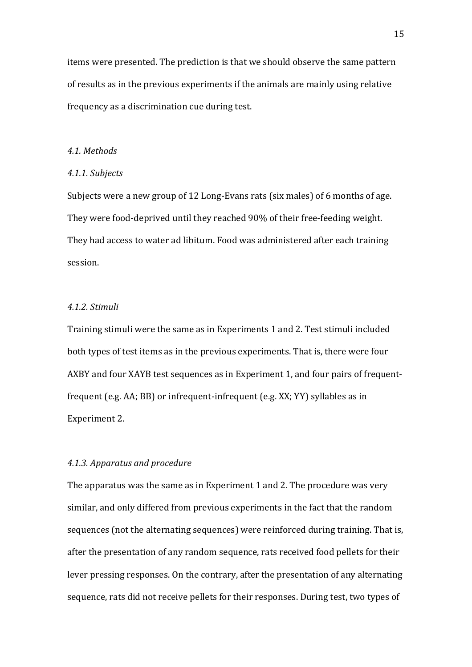items were presented. The prediction is that we should observe the same pattern of results as in the previous experiments if the animals are mainly using relative frequency as a discrimination cue during test.

### *4.1. Methods*

#### *4.1.1. Subjects*

Subjects were a new group of 12 Long-Evans rats (six males) of 6 months of age. They were food-deprived until they reached 90% of their free-feeding weight. They had access to water ad libitum. Food was administered after each training session. 

### *4.1.2. Stimuli*

Training stimuli were the same as in Experiments 1 and 2. Test stimuli included both types of test items as in the previous experiments. That is, there were four AXBY and four XAYB test sequences as in Experiment 1, and four pairs of frequentfrequent (e.g. AA; BB) or infrequent-infrequent (e.g.  $XX$ ;  $YY$ ) syllables as in Experiment 2.

### *4.1.3. Apparatus and procedure*

The apparatus was the same as in Experiment 1 and 2. The procedure was very similar, and only differed from previous experiments in the fact that the random sequences (not the alternating sequences) were reinforced during training. That is, after the presentation of any random sequence, rats received food pellets for their lever pressing responses. On the contrary, after the presentation of any alternating sequence, rats did not receive pellets for their responses. During test, two types of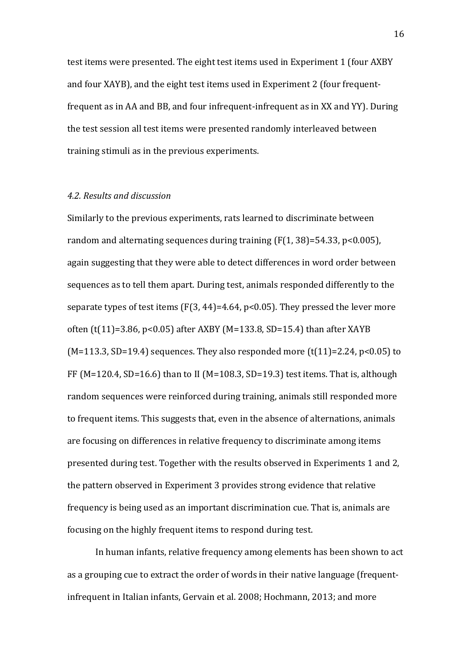test items were presented. The eight test items used in Experiment 1 (four AXBY and four XAYB), and the eight test items used in Experiment 2 (four frequentfrequent as in AA and BB, and four infrequent-infrequent as in XX and YY). During the test session all test items were presented randomly interleaved between training stimuli as in the previous experiments.

### *4.2. Results and discussion*

Similarly to the previous experiments, rats learned to discriminate between random and alternating sequences during training  $(F(1, 38)=54.33, p<0.005)$ , again suggesting that they were able to detect differences in word order between sequences as to tell them apart. During test, animals responded differently to the separate types of test items  $(F(3, 44)=4.64, p<0.05)$ . They pressed the lever more often  $(t(11)=3.86, p<0.05)$  after AXBY (M=133.8, SD=15.4) than after XAYB  $(M=113.3, SD=19.4)$  sequences. They also responded more  $(t(11)=2.24, p<0.05)$  to FF (M=120.4, SD=16.6) than to II (M=108.3, SD=19.3) test items. That is, although random sequences were reinforced during training, animals still responded more to frequent items. This suggests that, even in the absence of alternations, animals are focusing on differences in relative frequency to discriminate among items presented during test. Together with the results observed in Experiments 1 and 2, the pattern observed in Experiment 3 provides strong evidence that relative frequency is being used as an important discrimination cue. That is, animals are focusing on the highly frequent items to respond during test.

In human infants, relative frequency among elements has been shown to act as a grouping cue to extract the order of words in their native language (frequentinfrequent in Italian infants, Gervain et al. 2008; Hochmann, 2013; and more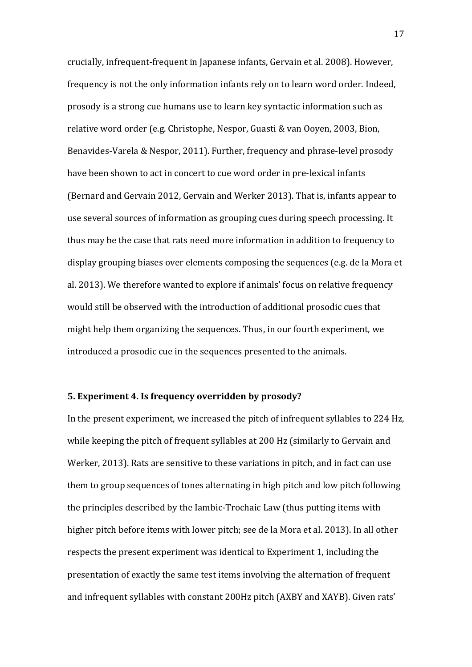crucially, infrequent-frequent in Japanese infants, Gervain et al. 2008). However, frequency is not the only information infants rely on to learn word order. Indeed, prosody is a strong cue humans use to learn key syntactic information such as relative word order (e.g. Christophe, Nespor, Guasti & van Ooyen, 2003, Bion, Benavides-Varela & Nespor, 2011). Further, frequency and phrase-level prosody have been shown to act in concert to cue word order in pre-lexical infants (Bernard and Gervain 2012, Gervain and Werker 2013). That is, infants appear to use several sources of information as grouping cues during speech processing. It thus may be the case that rats need more information in addition to frequency to display grouping biases over elements composing the sequences (e.g. de la Mora et al. 2013). We therefore wanted to explore if animals' focus on relative frequency would still be observed with the introduction of additional prosodic cues that might help them organizing the sequences. Thus, in our fourth experiment, we introduced a prosodic cue in the sequences presented to the animals.

## **5. Experiment 4. Is frequency overridden by prosody?**

In the present experiment, we increased the pitch of infrequent syllables to 224 Hz, while keeping the pitch of frequent syllables at 200 Hz (similarly to Gervain and Werker, 2013). Rats are sensitive to these variations in pitch, and in fact can use them to group sequences of tones alternating in high pitch and low pitch following the principles described by the Iambic-Trochaic Law (thus putting items with higher pitch before items with lower pitch; see de la Mora et al. 2013). In all other respects the present experiment was identical to Experiment 1, including the presentation of exactly the same test items involving the alternation of frequent and infrequent syllables with constant 200Hz pitch (AXBY and XAYB). Given rats'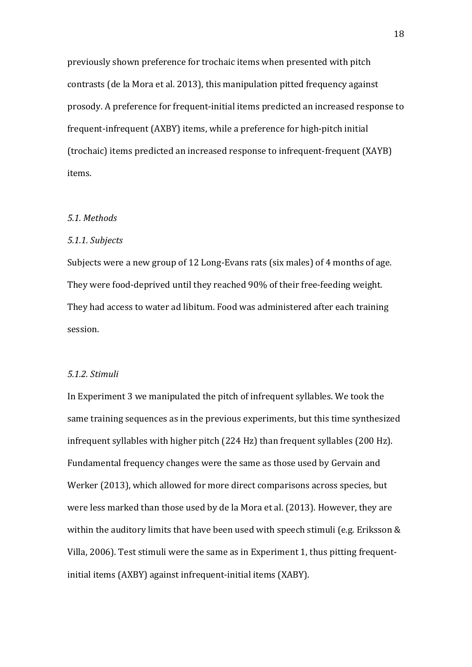previously shown preference for trochaic items when presented with pitch contrasts (de la Mora et al. 2013), this manipulation pitted frequency against prosody. A preference for frequent-initial items predicted an increased response to frequent-infrequent (AXBY) items, while a preference for high-pitch initial (trochaic) items predicted an increased response to infrequent-frequent (XAYB) items. 

#### *5.1. Methods*

### *5.1.1. Subjects*

Subjects were a new group of 12 Long-Evans rats (six males) of 4 months of age. They were food-deprived until they reached 90% of their free-feeding weight. They had access to water ad libitum. Food was administered after each training session. 

#### *5.1.2. Stimuli*

In Experiment 3 we manipulated the pitch of infrequent syllables. We took the same training sequences as in the previous experiments, but this time synthesized infrequent syllables with higher pitch  $(224 \text{ Hz})$  than frequent syllables  $(200 \text{ Hz})$ . Fundamental frequency changes were the same as those used by Gervain and Werker (2013), which allowed for more direct comparisons across species, but were less marked than those used by de la Mora et al. (2013). However, they are within the auditory limits that have been used with speech stimuli (e.g. Eriksson  $&$ Villa, 2006). Test stimuli were the same as in Experiment 1, thus pitting frequentinitial items (AXBY) against infrequent-initial items (XABY).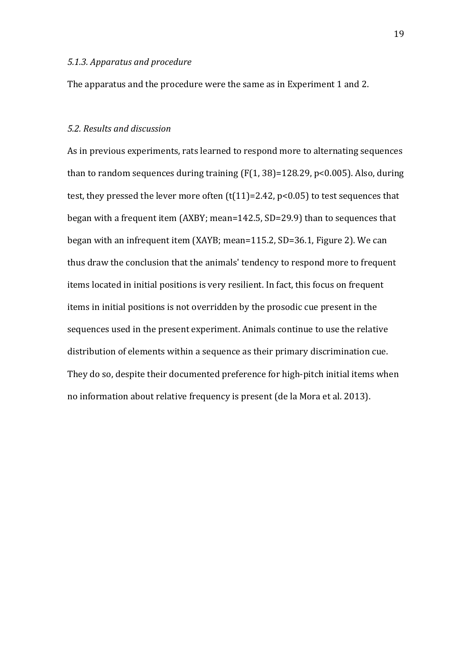#### *5.1.3. Apparatus and procedure*

The apparatus and the procedure were the same as in Experiment 1 and 2.

### *5.2. Results and discussion*

As in previous experiments, rats learned to respond more to alternating sequences than to random sequences during training  $(F(1, 38)=128.29, p<0.005)$ . Also, during test, they pressed the lever more often  $(t(11)=2.42, p<0.05)$  to test sequences that began with a frequent item  $(AXBY; mean=142.5, SD=29.9)$  than to sequences that began with an infrequent item (XAYB; mean=115.2, SD=36.1, Figure 2). We can thus draw the conclusion that the animals' tendency to respond more to frequent items located in initial positions is very resilient. In fact, this focus on frequent items in initial positions is not overridden by the prosodic cue present in the sequences used in the present experiment. Animals continue to use the relative distribution of elements within a sequence as their primary discrimination cue. They do so, despite their documented preference for high-pitch initial items when no information about relative frequency is present (de la Mora et al. 2013).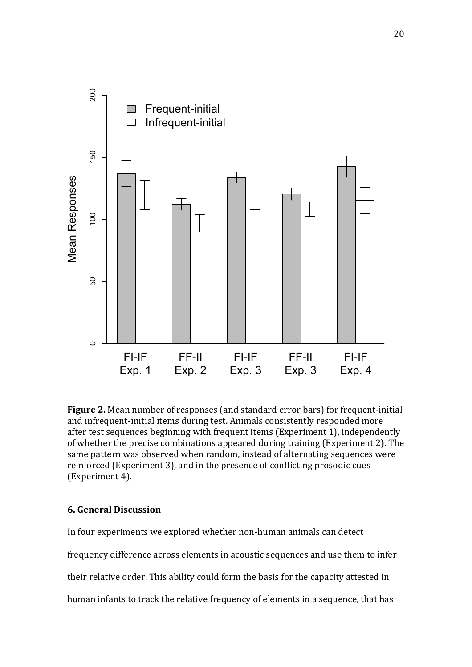

**Figure 2.** Mean number of responses (and standard error bars) for frequent-initial and infrequent-initial items during test. Animals consistently responded more after test sequences beginning with frequent items (Experiment 1), independently of whether the precise combinations appeared during training (Experiment 2). The same pattern was observed when random, instead of alternating sequences were reinforced (Experiment 3), and in the presence of conflicting prosodic cues (Experiment 4).

### **6. General Discussion**

In four experiments we explored whether non-human animals can detect

frequency difference across elements in acoustic sequences and use them to infer

their relative order. This ability could form the basis for the capacity attested in

human infants to track the relative frequency of elements in a sequence, that has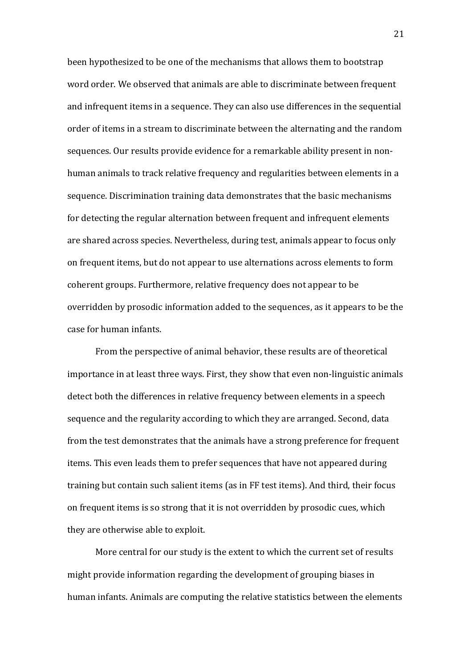been hypothesized to be one of the mechanisms that allows them to bootstrap word order. We observed that animals are able to discriminate between frequent and infrequent items in a sequence. They can also use differences in the sequential order of items in a stream to discriminate between the alternating and the random sequences. Our results provide evidence for a remarkable ability present in nonhuman animals to track relative frequency and regularities between elements in a sequence. Discrimination training data demonstrates that the basic mechanisms for detecting the regular alternation between frequent and infrequent elements are shared across species. Nevertheless, during test, animals appear to focus only on frequent items, but do not appear to use alternations across elements to form coherent groups. Furthermore, relative frequency does not appear to be overridden by prosodic information added to the sequences, as it appears to be the case for human infants.

From the perspective of animal behavior, these results are of theoretical importance in at least three ways. First, they show that even non-linguistic animals detect both the differences in relative frequency between elements in a speech sequence and the regularity according to which they are arranged. Second, data from the test demonstrates that the animals have a strong preference for frequent items. This even leads them to prefer sequences that have not appeared during training but contain such salient items (as in FF test items). And third, their focus on frequent items is so strong that it is not overridden by prosodic cues, which they are otherwise able to exploit.

More central for our study is the extent to which the current set of results might provide information regarding the development of grouping biases in human infants. Animals are computing the relative statistics between the elements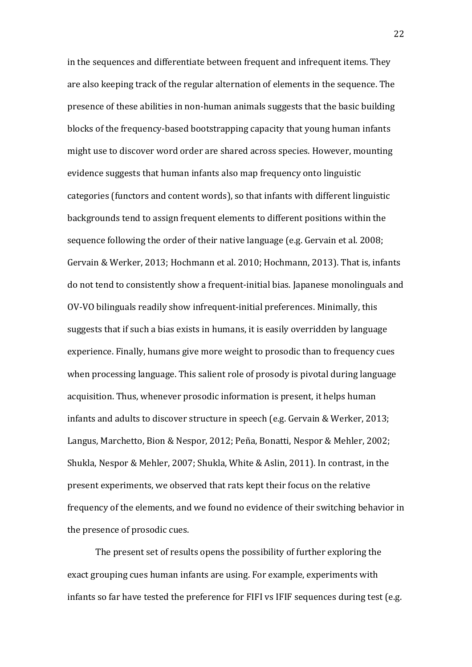in the sequences and differentiate between frequent and infrequent items. They are also keeping track of the regular alternation of elements in the sequence. The presence of these abilities in non-human animals suggests that the basic building blocks of the frequency-based bootstrapping capacity that young human infants might use to discover word order are shared across species. However, mounting evidence suggests that human infants also map frequency onto linguistic categories (functors and content words), so that infants with different linguistic backgrounds tend to assign frequent elements to different positions within the sequence following the order of their native language (e.g. Gervain et al. 2008; Gervain & Werker, 2013; Hochmann et al. 2010; Hochmann, 2013). That is, infants do not tend to consistently show a frequent-initial bias. Japanese monolinguals and OV-VO bilinguals readily show infrequent-initial preferences. Minimally, this suggests that if such a bias exists in humans, it is easily overridden by language experience. Finally, humans give more weight to prosodic than to frequency cues when processing language. This salient role of prosody is pivotal during language acquisition. Thus, whenever prosodic information is present, it helps human infants and adults to discover structure in speech (e.g. Gervain & Werker, 2013; Langus, Marchetto, Bion & Nespor, 2012; Peña, Bonatti, Nespor & Mehler, 2002; Shukla, Nespor & Mehler, 2007; Shukla, White & Aslin, 2011). In contrast, in the present experiments, we observed that rats kept their focus on the relative frequency of the elements, and we found no evidence of their switching behavior in the presence of prosodic cues.

The present set of results opens the possibility of further exploring the exact grouping cues human infants are using. For example, experiments with infants so far have tested the preference for FIFI vs IFIF sequences during test (e.g.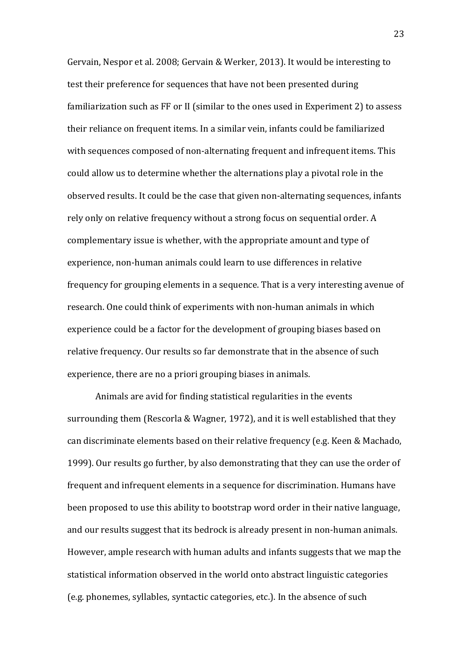Gervain, Nespor et al. 2008; Gervain & Werker, 2013). It would be interesting to test their preference for sequences that have not been presented during familiarization such as FF or II (similar to the ones used in Experiment 2) to assess their reliance on frequent items. In a similar vein, infants could be familiarized with sequences composed of non-alternating frequent and infrequent items. This could allow us to determine whether the alternations play a pivotal role in the observed results. It could be the case that given non-alternating sequences, infants rely only on relative frequency without a strong focus on sequential order. A complementary issue is whether, with the appropriate amount and type of experience, non-human animals could learn to use differences in relative frequency for grouping elements in a sequence. That is a very interesting avenue of research. One could think of experiments with non-human animals in which experience could be a factor for the development of grouping biases based on relative frequency. Our results so far demonstrate that in the absence of such experience, there are no a priori grouping biases in animals.

Animals are avid for finding statistical regularities in the events surrounding them (Rescorla & Wagner, 1972), and it is well established that they can discriminate elements based on their relative frequency (e.g. Keen & Machado, 1999). Our results go further, by also demonstrating that they can use the order of frequent and infrequent elements in a sequence for discrimination. Humans have been proposed to use this ability to bootstrap word order in their native language, and our results suggest that its bedrock is already present in non-human animals. However, ample research with human adults and infants suggests that we map the statistical information observed in the world onto abstract linguistic categories (e.g. phonemes, syllables, syntactic categories, etc.). In the absence of such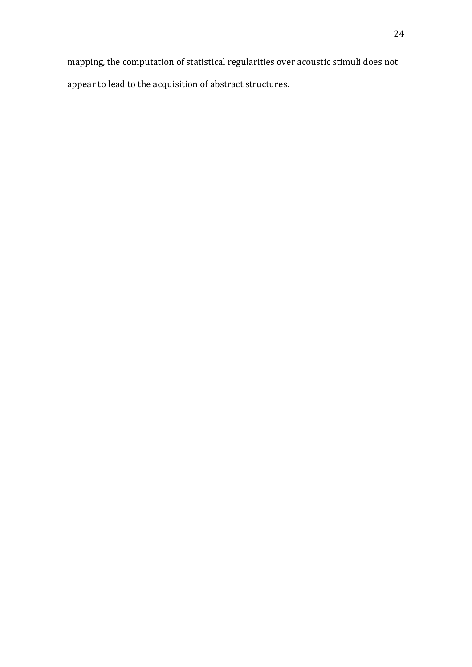mapping, the computation of statistical regularities over acoustic stimuli does not appear to lead to the acquisition of abstract structures.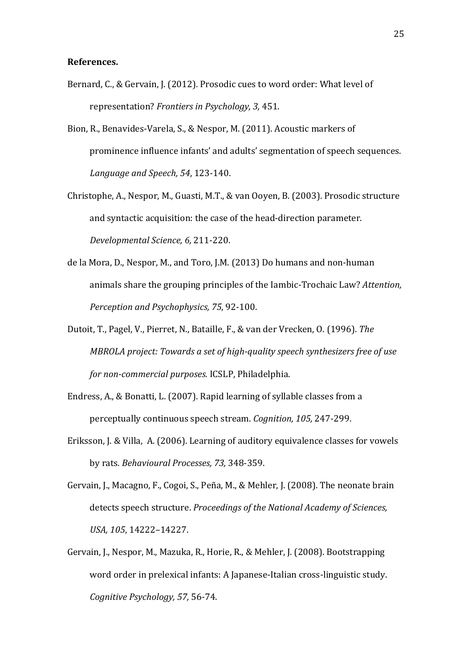#### **References.**

- Bernard, C., & Gervain, J. (2012). Prosodic cues to word order: What level of representation? *Frontiers in Psychology, 3,* 451.
- Bion, R., Benavides-Varela, S., & Nespor, M. (2011). Acoustic markers of prominence influence infants' and adults' segmentation of speech sequences. *Language and Speech, 54*, 123-140.
- Christophe, A., Nespor, M., Guasti, M.T., & van Ooyen, B. (2003). Prosodic structure and syntactic acquisition: the case of the head-direction parameter. *Developmental Science, 6,* 211-220.
- de la Mora, D., Nespor, M., and Toro, J.M. (2013) Do humans and non-human animals share the grouping principles of the Iambic-Trochaic Law? *Attention*, *Perception and Psychophysics, 75, 92-100.*
- Dutoit, T., Pagel, V., Pierret, N., Bataille, F., & van der Vrecken, O. (1996). The *MBROLA* project: Towards a set of high-quality speech synthesizers free of use *for non-commercial purposes.* ICSLP, Philadelphia.
- Endress, A., & Bonatti, L. (2007). Rapid learning of syllable classes from a perceptually continuous speech stream. *Cognition, 105,* 247-299.
- Eriksson, J. & Villa, A. (2006). Learning of auditory equivalence classes for vowels by rats. *Behavioural Processes, 73, 348-359.*
- Gervain, J., Macagno, F., Cogoi, S., Peña, M., & Mehler, J. (2008). The neonate brain detects speech structure. *Proceedings of the National Academy of Sciences*, *USA, 105*, 14222–14227.
- Gervain, J., Nespor, M., Mazuka, R., Horie, R., & Mehler, J. (2008). Bootstrapping word order in prelexical infants: A Japanese-Italian cross-linguistic study. *Cognitive Psychology, 57,* 56-74.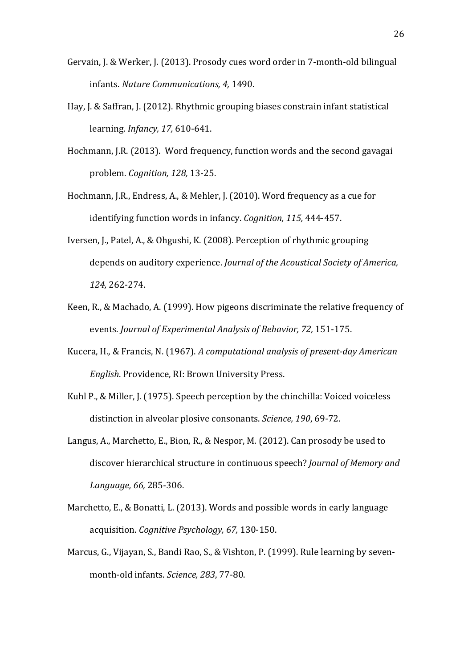- Gervain, J. & Werker, J. (2013). Prosody cues word order in 7-month-old bilingual infants. *Nature Communications, 4,* 1490.
- Hay, J. & Saffran, J. (2012). Rhythmic grouping biases constrain infant statistical learning. *Infancy, 17,* 610-641.
- Hochmann, J.R. (2013). Word frequency, function words and the second gavagai problem. *Cognition, 128,* 13-25.
- Hochmann, J.R., Endress, A., & Mehler, J. (2010). Word frequency as a cue for identifying function words in infancy. *Cognition*, 115, 444-457.
- Iversen, J., Patel, A., & Ohgushi, K. (2008). Perception of rhythmic grouping depends on auditory experience. *Journal of the Acoustical Society of America*, *124,* 262-274.
- Keen, R., & Machado, A. (1999). How pigeons discriminate the relative frequency of events. *Journal of Experimental Analysis of Behavior, 72, 151-175.*
- Kucera, H., & Francis, N. (1967). A computational analysis of present-day American *English.* Providence, RI: Brown University Press.
- Kuhl P., & Miller, J. (1975). Speech perception by the chinchilla: Voiced voiceless distinction in alveolar plosive consonants. *Science*, 190, 69-72.
- Langus, A., Marchetto, E., Bion, R., & Nespor, M. (2012). Can prosody be used to discover hierarchical structure in continuous speech? *Journal of Memory and Language, 66,* 285-306.
- Marchetto, E., & Bonatti, L. (2013). Words and possible words in early language acquisition. *Cognitive Psychology, 67,* 130-150.
- Marcus, G., Vijayan, S., Bandi Rao, S., & Vishton, P. (1999). Rule learning by sevenmonth-old infants. *Science*, 283, 77-80.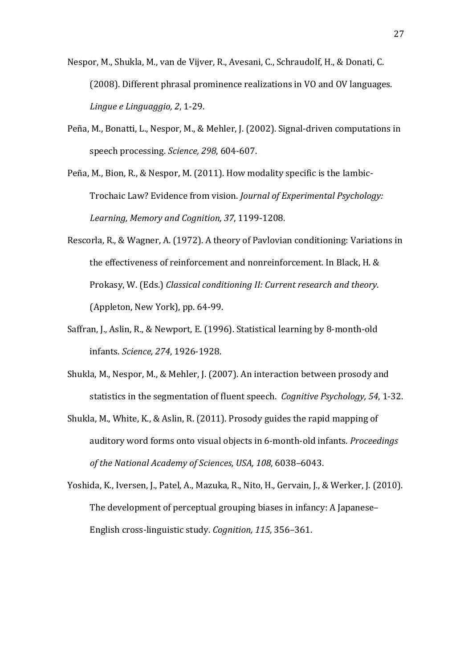Nespor, M., Shukla, M., van de Vijver, R., Avesani, C., Schraudolf, H., & Donati, C. (2008). Different phrasal prominence realizations in VO and OV languages. *Lingue e Linguaggio, 2, 1-29.* 

Peña, M., Bonatti, L., Nespor, M., & Mehler, J. (2002). Signal-driven computations in speech processing. Science, 298, 604-607.

Peña, M., Bion, R., & Nespor, M.  $(2011)$ . How modality specific is the lambic-Trochaic Law? Evidence from vision. *Journal of Experimental Psychology:* Learning, Memory and Cognition, 37, 1199-1208.

- Rescorla, R., & Wagner, A. (1972). A theory of Pavlovian conditioning: Variations in the effectiveness of reinforcement and nonreinforcement. In Black, H. & Prokasy, W. (Eds.) *Classical conditioning II: Current research and theory.* (Appleton, New York), pp. 64-99.
- Saffran, J., Aslin, R., & Newport, E. (1996). Statistical learning by 8-month-old infants. *Science, 274*, 1926-1928.
- Shukla, M., Nespor, M., & Mehler, J. (2007). An interaction between prosody and statistics in the segmentation of fluent speech. *Cognitive Psychology,* 54, 1-32.
- Shukla, M., White, K., & Aslin, R. (2011). Prosody guides the rapid mapping of auditory word forms onto visual objects in 6-month-old infants. *Proceedings of the National Academy of Sciences, USA, 108,* 6038–6043.
- Yoshida, K., Iversen, J., Patel, A., Mazuka, R., Nito, H., Gervain, J., & Werker, J. (2010). The development of perceptual grouping biases in infancy: A Japanese-English cross-linguistic study. *Cognition*, 115, 356-361.